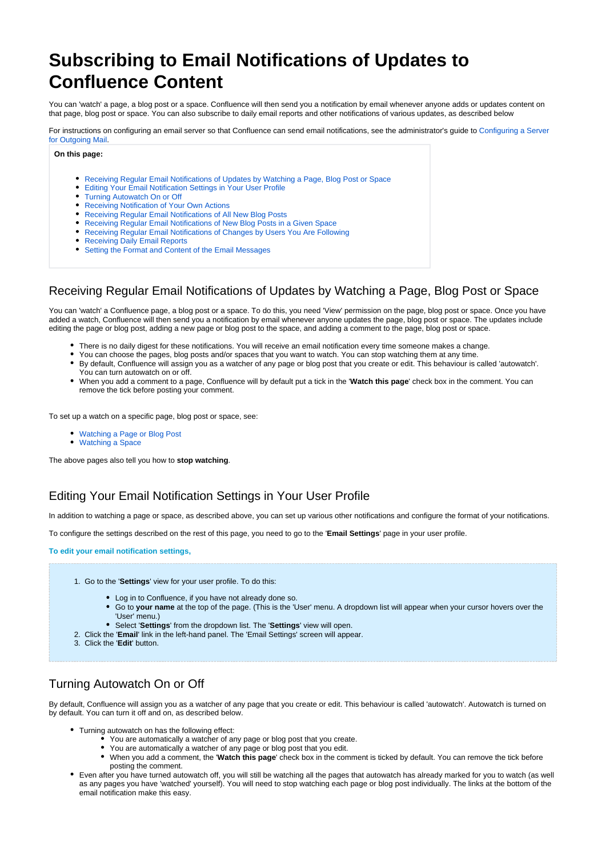# **Subscribing to Email Notifications of Updates to Confluence Content**

You can 'watch' a page, a blog post or a space. Confluence will then send you a notification by email whenever anyone adds or updates content on that page, blog post or space. You can also subscribe to daily email reports and other notifications of various updates, as described below

For instructions on configuring an email server so that Confluence can send email notifications, see the administrator's guide to [Configuring a Server](https://wikis.nyu.edu/pages/viewpage.action?pageId=20581506)  [for Outgoing Mail](https://wikis.nyu.edu/pages/viewpage.action?pageId=20581506).

#### **On this page:**

- [Receiving Regular Email Notifications of Updates by Watching a Page, Blog Post or Space](#page-0-0)
- [Editing Your Email Notification Settings in Your User Profile](#page-0-1)
- [Turning Autowatch On or Off](#page-0-2)
- [Receiving Notification of Your Own Actions](#page-1-0)
- [Receiving Regular Email Notifications of All New Blog Posts](#page-1-1)
- [Receiving Regular Email Notifications of New Blog Posts in a Given Space](#page-1-2)
- [Receiving Regular Email Notifications of Changes by Users You Are Following](#page-1-3)
- [Receiving Daily Email Reports](#page-2-0)
- [Setting the Format and Content of the Email Messages](#page-2-1)

# <span id="page-0-0"></span>Receiving Regular Email Notifications of Updates by Watching a Page, Blog Post or Space

You can 'watch' a Confluence page, a blog post or a space. To do this, you need 'View' permission on the page, blog post or space. Once you have added a watch, Confluence will then send you a notification by email whenever anyone updates the page, blog post or space. The updates include editing the page or blog post, adding a new page or blog post to the space, and adding a comment to the page, blog post or space.

- There is no daily digest for these notifications. You will receive an email notification every time someone makes a change.
- You can choose the pages, blog posts and/or spaces that you want to watch. You can stop watching them at any time.
- By default, Confluence will assign you as a watcher of any page or blog post that you create or edit. This behaviour is called 'autowatch'. You can turn autowatch on or off.
- When you add a comment to a page, Confluence will by default put a tick in the '**Watch this page**' check box in the comment. You can remove the tick before posting your comment.

To set up a watch on a specific page, blog post or space, see:

- [Watching a Page or Blog Post](https://wikis.nyu.edu/display/DOC/Watching+a+Page+or+Blog+Post)
- [Watching a Space](https://wikis.nyu.edu/display/DOC/Watching+a+Space)

The above pages also tell you how to **stop watching**.

### <span id="page-0-3"></span><span id="page-0-1"></span>Editing Your Email Notification Settings in Your User Profile

In addition to watching a page or space, as described above, you can set up various other notifications and configure the format of your notifications.

To configure the settings described on the rest of this page, you need to go to the '**Email Settings**' page in your user profile.

**To edit your email notification settings,**

- 1. Go to the '**Settings**' view for your user profile. To do this:
	- Log in to Confluence, if you have not already done so.
	- Go to **your name** at the top of the page. (This is the 'User' menu. A dropdown list will appear when your cursor hovers over the 'User' menu.)
	- Select '**Settings**' from the dropdown list. The '**Settings**' view will open.
- 2. Click the '**Email**' link in the left-hand panel. The 'Email Settings' screen will appear.
- 3. Click the '**Edit**' button.

### <span id="page-0-2"></span>Turning Autowatch On or Off

By default, Confluence will assign you as a watcher of any page that you create or edit. This behaviour is called 'autowatch'. Autowatch is turned on by default. You can turn it off and on, as described below.

- Turning autowatch on has the following effect:
	- You are automatically a watcher of any page or blog post that you create.
	- You are automatically a watcher of any page or blog post that you edit.
	- $\bullet$ When you add a comment, the '**Watch this page**' check box in the comment is ticked by default. You can remove the tick before posting the comment.
- Even after you have turned autowatch off, you will still be watching all the pages that autowatch has already marked for you to watch (as well as any pages you have 'watched' yourself). You will need to stop watching each page or blog post individually. The links at the bottom of the email notification make this easy.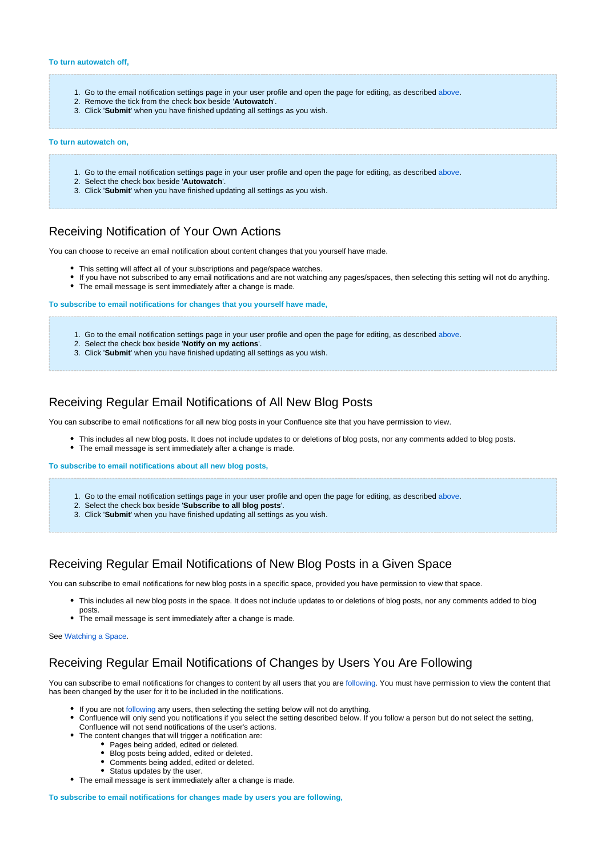- 1. Go to the email notification settings page in your user profile and open the page for editing, as described [above](#page-0-3).
- 2. Remove the tick from the check box beside '**Autowatch**'.
- 3. Click '**Submit**' when you have finished updating all settings as you wish.

#### **To turn autowatch on,**

- 1. Go to the email notification settings page in your user profile and open the page for editing, as described [above](#page-0-3).
- 2. Select the check box beside '**Autowatch**'.
- 3. Click '**Submit**' when you have finished updating all settings as you wish.

#### <span id="page-1-0"></span>Receiving Notification of Your Own Actions

You can choose to receive an email notification about content changes that you yourself have made.

- This setting will affect all of your subscriptions and page/space watches.
- If you have not subscribed to any email notifications and are not watching any pages/spaces, then selecting this setting will not do anything.
	- The email message is sent immediately after a change is made.

**To subscribe to email notifications for changes that you yourself have made,**

- 1. Go to the email notification settings page in your user profile and open the page for editing, as described [above](#page-0-3).
- 2. Select the check box beside '**Notify on my actions**'.
- 3. Click '**Submit**' when you have finished updating all settings as you wish.

### <span id="page-1-1"></span>Receiving Regular Email Notifications of All New Blog Posts

You can subscribe to email notifications for all new blog posts in your Confluence site that you have permission to view.

- This includes all new blog posts. It does not include updates to or deletions of blog posts, nor any comments added to blog posts. The email message is sent immediately after a change is made.
- 

**To subscribe to email notifications about all new blog posts,**

- 1. Go to the email notification settings page in your user profile and open the page for editing, as described [above](#page-0-3).
- 2. Select the check box beside '**Subscribe to all blog posts**'.
- 3. Click '**Submit**' when you have finished updating all settings as you wish.

### <span id="page-1-2"></span>Receiving Regular Email Notifications of New Blog Posts in a Given Space

You can subscribe to email notifications for new blog posts in a specific space, provided you have permission to view that space.

- This includes all new blog posts in the space. It does not include updates to or deletions of blog posts, nor any comments added to blog posts.
- The email message is sent immediately after a change is made.

See [Watching a Space](https://wikis.nyu.edu/display/DOC/Watching+a+Space).

### <span id="page-1-3"></span>Receiving Regular Email Notifications of Changes by Users You Are Following

You can subscribe to email notifications for changes to content by all users that you are following. You must have permission to view the content that has been changed by the user for it to be included in the notifications.

- If you are not following any users, then selecting the setting below will not do anything.
- Confluence will only send you notifications if you select the setting described below. If you follow a person but do not select the setting, Confluence will not send notifications of the user's actions.
- The content changes that will trigger a notification are:
	- Pages being added, edited or deleted.
		- Blog posts being added, edited or deleted
		- Comments being added, edited or deleted.
		- Status updates by the user.
- The email message is sent immediately after a change is made.

**To subscribe to email notifications for changes made by users you are following,**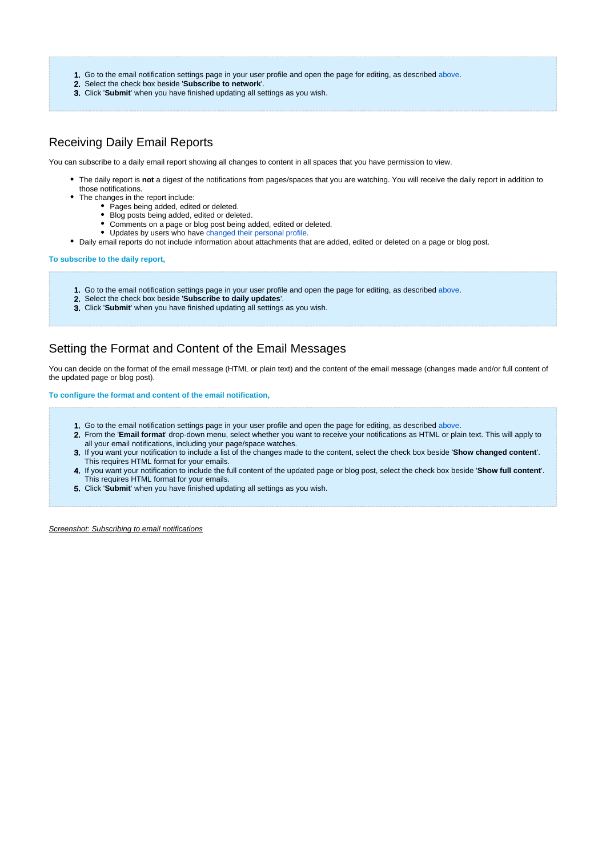- 1. Go to the email notification settings page in your user profile and open the page for editing, as described [above](#page-0-3).
- 2. Select the check box beside '**Subscribe to network**'.
- 3. Click '**Submit**' when you have finished updating all settings as you wish.

### <span id="page-2-0"></span>Receiving Daily Email Reports

You can subscribe to a daily email report showing all changes to content in all spaces that you have permission to view.

- The daily report is **not** a digest of the notifications from pages/spaces that you are watching. You will receive the daily report in addition to those notifications.
- The changes in the report include:
	- Pages being added, edited or deleted.
	- Blog posts being added, edited or deleted.
	- Comments on a page or blog post being added, edited or deleted.
	- Updates by users who have [changed their personal profile](https://wikis.nyu.edu/display/DOC/Editing+User+Profile).
- Daily email reports do not include information about attachments that are added, edited or deleted on a page or blog post.

#### **To subscribe to the daily report,**

- 1. Go to the email notification settings page in your user profile and open the page for editing, as described [above](#page-0-3).
- 2. Select the check box beside '**Subscribe to daily updates**'.
- 3. Click '**Submit**' when you have finished updating all settings as you wish.

# <span id="page-2-1"></span>Setting the Format and Content of the Email Messages

You can decide on the format of the email message (HTML or plain text) and the content of the email message (changes made and/or full content of the updated page or blog post).

#### **To configure the format and content of the email notification,**

- 1. Go to the email notification settings page in your user profile and open the page for editing, as described [above](#page-0-3).
- 2. From the '**Email format**' drop-down menu, select whether you want to receive your notifications as HTML or plain text. This will apply to all your email notifications, including your page/space watches.
- 3. If you want your notification to include a list of the changes made to the content, select the check box beside '**Show changed content**'. This requires HTML format for your emails.
- 4. If you want your notification to include the full content of the updated page or blog post, select the check box beside '**Show full content**'. This requires HTML format for your emails.
- 5. Click '**Submit**' when you have finished updating all settings as you wish.

Screenshot: Subscribing to email notifications